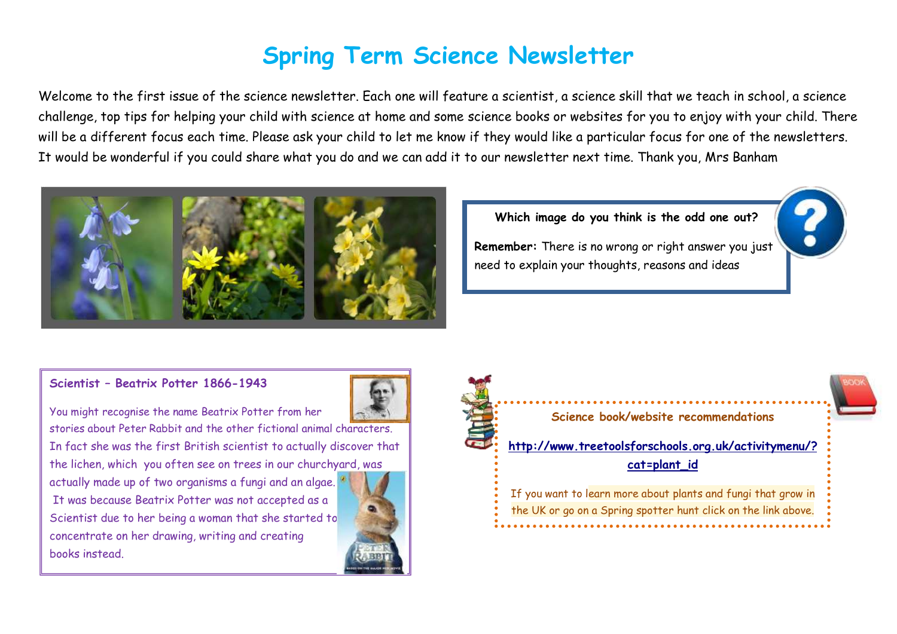## **Spring Term Science Newsletter**

Welcome to the first issue of the science newsletter. Each one will feature a scientist, a science skill that we teach in school, a science challenge, top tips for helping your child with science at home and some science books or websites for you to enjoy with your child. There will be a different focus each time. Please ask your child to let me know if they would like a particular focus for one of the newsletters. It would be wonderful if you could share what you do and we can add it to our newsletter next time. Thank you, Mrs Banham



**Which image do you think is the odd one out?**

**Remember:** There is no wrong or right answer you just need to explain your thoughts, reasons and ideas

#### **Scientist – Beatrix Potter 1866-1943**

You might recognise the name Beatrix Potter from her stories about Peter Rabbit and the other fictional animal characters. In fact she was the first British scientist to actually discover that the lichen, which you often see on trees in our churchyard, was actually made up of two organisms a fungi and an algae. It was because Beatrix Potter was not accepted as a Scientist due to her being a woman that she started to concentrate on her drawing, writing and creating books instead.